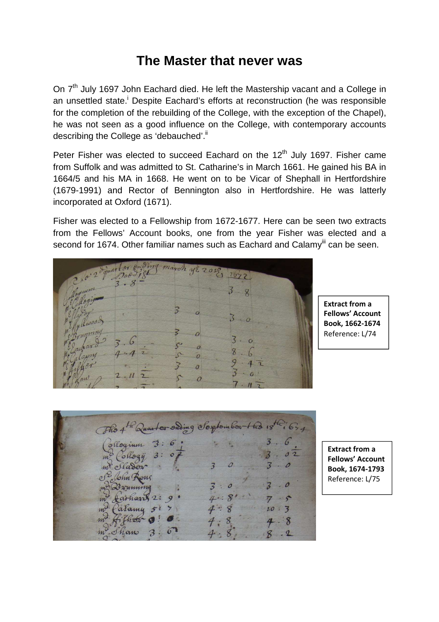## **The Master that never was**

On 7<sup>th</sup> July 1697 John Eachard died. He left the Mastership vacant and a College in an unsettled state.<sup>i</sup> Despite Eachard's efforts at reconstruction (he was responsible for the completion of the rebuilding of the College, with the exception of the Chapel), he was not seen as a good influence on the College, with contemporary accounts describing the College as 'debauched'.<sup>ii</sup>

Peter Fisher was elected to succeed Eachard on the 12<sup>th</sup> July 1697. Fisher came from Suffolk and was admitted to St. Catharine's in March 1661. He gained his BA in 1664/5 and his MA in 1668. He went on to be Vicar of Shephall in Hertfordshire (1679-1991) and Rector of Bennington also in Hertfordshire. He was latterly incorporated at Oxford (1671).

Fisher was elected to a Fellowship from 1672-1677. Here can be seen two extracts from the Fellows' Account books, one from the year Fisher was elected and a second for 1674. Other familiar names such as Eachard and Calamy<sup>iii</sup> can be seen.

| 2hor 2 d'juan tors emding march ye 2012 |                |
|-----------------------------------------|----------------|
| Rogium                                  | 5              |
| Mwood<br>entitive<br>çν                 | $\overline{O}$ |
| $80^{\circ}$<br>achar<br>alapry         | Ω              |
| yher<br>$\boldsymbol{c}$<br>Vail        | $\overline{a}$ |

**Extract from a Fellows' Account Book, 1662-1674**  Reference: L/74

The 4th Quarter sading Sorptomber 1 to 18th 1634 ollogium  $3:6$  $3:$ Collogy  $\mathcal{O}$ m<sup>y</sup> Slader John Rone  $+$ arham  $2:$  $\overline{3}$ alamy 8 Than

**Extract from a Fellows' Account Book, 1674-1793**  Reference: L/75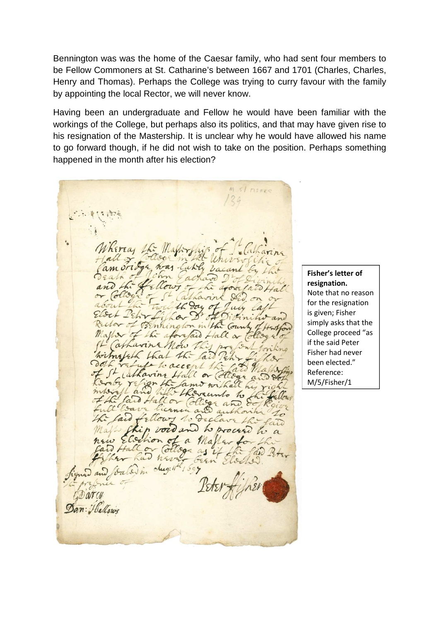Bennington was was the home of the Caesar family, who had sent four members to be Fellow Commoners at St. Catharine's between 1667 and 1701 (Charles, Charles, Henry and Thomas). Perhaps the College was trying to curry favour with the family by appointing the local Rector, we will never know.

Having been an undergraduate and Fellow he would have been familiar with the workings of the College, but perhaps also its politics, and that may have given rise to his resignation of the Mastership. It is unclear why he would have allowed his name to go forward though, if he did not wish to take on the position. Perhaps something happened in the month after his election?

s/ nstee hirra  $\overline{an}$  $444$ in the nhingh Count of aforefail Hall or (ar now Lno himalach  $\overline{a}$ to rece Cathaving or close fam withall h. runto  $h_{3}$ Collige allor and au Ellowy to Declar Laid año vous wocasi h  $a$  $\omega$ Elischion ega as been 4,597  $clug:$ vale

**Fisher's letter of resignation.**  Note that no reason for the resignation is given; Fisher simply asks that the College proceed "as if the said Peter Fisher had never been elected." Reference: M/5/Fisher/1